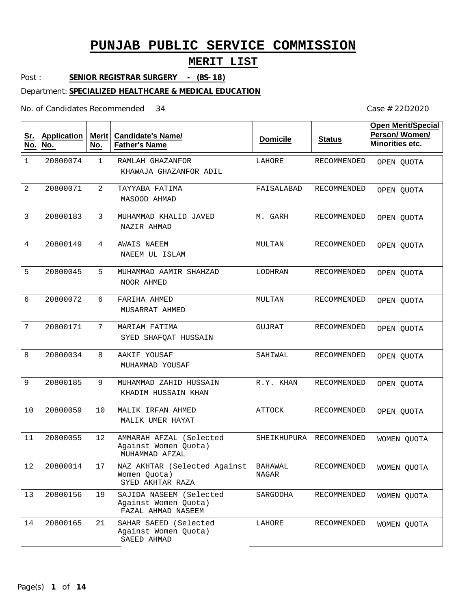## **MERIT LIST**

Post : **SENIOR REGISTRAR SURGERY - (BS-18)**

Department: **SPECIALIZED HEALTHCARE & MEDICAL EDUCATION**

No. of Candidates Recommended

| <u>Sr.</u><br>No. | <b>Application</b><br>No. | Merit<br>No.   | <b>Candidate's Name/</b><br><b>Father's Name</b>                      | <b>Domicile</b>  | <b>Status</b> | <b>Open Merit/Special</b><br>Person/Women/<br>Minorities etc. |
|-------------------|---------------------------|----------------|-----------------------------------------------------------------------|------------------|---------------|---------------------------------------------------------------|
| $\mathbf 1$       | 20800074                  | $\mathbf{1}$   | RAMLAH GHAZANFOR<br>KHAWAJA GHAZANFOR ADIL                            | LAHORE           | RECOMMENDED   | OPEN QUOTA                                                    |
| 2                 | 20800071                  | $\overline{2}$ | TAYYABA FATIMA<br>MASOOD AHMAD                                        | FAISALABAD       | RECOMMENDED   | OPEN QUOTA                                                    |
| 3                 | 20800183                  | 3              | MUHAMMAD KHALID JAVED<br>NAZIR AHMAD                                  | M. GARH          | RECOMMENDED   | OPEN QUOTA                                                    |
| 4                 | 20800149                  | 4              | AWAIS NAEEM<br>NAEEM UL ISLAM                                         | MULTAN           | RECOMMENDED   | OPEN QUOTA                                                    |
| 5                 | 20800045                  | 5              | MUHAMMAD AAMIR SHAHZAD<br>NOOR AHMED                                  | LODHRAN          | RECOMMENDED   | OPEN QUOTA                                                    |
| 6                 | 20800072                  | 6              | FARIHA AHMED<br>MUSARRAT AHMED                                        | MULTAN           | RECOMMENDED   | OPEN QUOTA                                                    |
| 7                 | 20800171                  | 7              | MARIAM FATIMA<br>SYED SHAFOAT HUSSAIN                                 | GUJRAT           | RECOMMENDED   | OPEN QUOTA                                                    |
| 8                 | 20800034                  | 8              | AAKIF YOUSAF<br>MUHAMMAD YOUSAF                                       | SAHIWAL          | RECOMMENDED   | OPEN QUOTA                                                    |
| 9                 | 20800185                  | 9              | MUHAMMAD ZAHID HUSSAIN<br>KHADIM HUSSAIN KHAN                         | R.Y. KHAN        | RECOMMENDED   | OPEN QUOTA                                                    |
| 10                | 20800059                  | 10             | MALIK IRFAN AHMED<br>MALIK UMER HAYAT                                 | <b>ATTOCK</b>    | RECOMMENDED   | OPEN QUOTA                                                    |
| 11                | 20800055                  | 12             | AMMARAH AFZAL (Selected<br>Against Women Quota)<br>MUHAMMAD AFZAL     | SHEIKHUPURA      | RECOMMENDED   | WOMEN QUOTA                                                   |
| $1\,2$            | 20800014                  | $17$           | NAZ AKHTAR (Selected Against<br>Women Ouota)<br>SYED AKHTAR RAZA      | BAHAWAL<br>NAGAR | RECOMMENDED   | WOMEN QUOTA                                                   |
| 13                | 20800156                  | 19             | SAJIDA NASEEM (Selected<br>Against Women Quota)<br>FAZAL AHMAD NASEEM | SARGODHA         | RECOMMENDED   | WOMEN OUOTA                                                   |
| 14                | 20800165                  | 21             | SAHAR SAEED (Selected<br>Against Women Quota)<br>SAEED AHMAD          | LAHORE           | RECOMMENDED   | WOMEN QUOTA                                                   |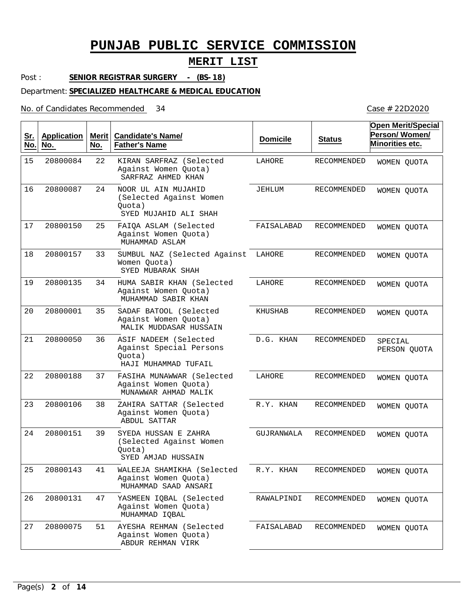### **MERIT LIST**

Post : **SENIOR REGISTRAR SURGERY - (BS-18)**

Department: **SPECIALIZED HEALTHCARE & MEDICAL EDUCATION**

No. of Candidates Recommended

| <u>Sr.</u><br>No. | <b>Application</b><br>No. | Merit $ $<br>No. | <b>Candidate's Name/</b><br><b>Father's Name</b>                                   | <b>Domicile</b> | <b>Status</b>      | <b>Open Merit/Special</b><br>Person/Women/<br>Minorities etc. |
|-------------------|---------------------------|------------------|------------------------------------------------------------------------------------|-----------------|--------------------|---------------------------------------------------------------|
| 15                | 20800084                  | 22               | KIRAN SARFRAZ (Selected<br>Against Women Quota)<br>SARFRAZ AHMED KHAN              | LAHORE          | <b>RECOMMENDED</b> | WOMEN QUOTA                                                   |
| 16                | 20800087                  | 24               | NOOR UL AIN MUJAHID<br>(Selected Against Women<br>Quota)<br>SYED MUJAHID ALI SHAH  | JEHLUM          | RECOMMENDED        | WOMEN QUOTA                                                   |
| 17                | 20800150                  | 25               | FAIQA ASLAM (Selected<br>Against Women Quota)<br>MUHAMMAD ASLAM                    | FAISALABAD      | RECOMMENDED        | WOMEN QUOTA                                                   |
| 18                | 20800157                  | 33               | SUMBUL NAZ (Selected Against<br>Women Quota)<br>SYED MUBARAK SHAH                  | LAHORE          | <b>RECOMMENDED</b> | WOMEN QUOTA                                                   |
| 19                | 20800135                  | 34               | HUMA SABIR KHAN (Selected<br>Against Women Quota)<br>MUHAMMAD SABIR KHAN           | LAHORE          | RECOMMENDED        | WOMEN QUOTA                                                   |
| 20                | 20800001                  | 35               | SADAF BATOOL (Selected<br>Against Women Quota)<br>MALIK MUDDASAR HUSSAIN           | KHUSHAB         | RECOMMENDED        | WOMEN QUOTA                                                   |
| 21                | 20800050                  | 36               | ASIF NADEEM (Selected<br>Against Special Persons<br>Quota)<br>HAJI MUHAMMAD TUFAIL | D.G. KHAN       | RECOMMENDED        | SPECIAL<br>PERSON QUOTA                                       |
| 22                | 20800188                  | 37               | FASIHA MUNAWWAR (Selected<br>Against Women Quota)<br>MUNAWWAR AHMAD MALIK          | LAHORE          | RECOMMENDED        | WOMEN QUOTA                                                   |
| 23                | 20800106                  | 38               | ZAHIRA SATTAR (Selected<br>Against Women Quota)<br><b>ABDUL SATTAR</b>             | R.Y. KHAN       | RECOMMENDED        | WOMEN QUOTA                                                   |
| 24                | 20800151                  | 39               | SYEDA HUSSAN E ZAHRA<br>(Selected Against Women<br>Quota)<br>SYED AMJAD HUSSAIN    | GUJRANWALA      | RECOMMENDED        | WOMEN QUOTA                                                   |
| 25                | 20800143                  | 41               | WALEEJA SHAMIKHA (Selected<br>Against Women Quota)<br>MUHAMMAD SAAD ANSARI         | R.Y. KHAN       | RECOMMENDED        | WOMEN QUOTA                                                   |
| 26                | 20800131                  | 47               | YASMEEN IQBAL (Selected<br>Against Women Quota)<br>MUHAMMAD IQBAL                  | RAWALPINDI      | RECOMMENDED        | WOMEN QUOTA                                                   |
| 27                | 20800075                  | 51               | AYESHA REHMAN (Selected<br>Against Women Quota)<br>ABDUR REHMAN VIRK               | FAISALABAD      | RECOMMENDED        | WOMEN QUOTA                                                   |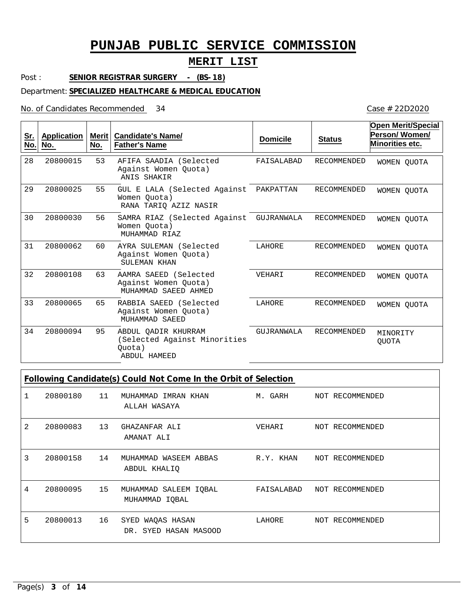## **MERIT LIST**

Post : **SENIOR REGISTRAR SURGERY - (BS-18)**

#### Department: **SPECIALIZED HEALTHCARE & MEDICAL EDUCATION**

No. of Candidates Recommended

Case # 22D2020

| <u>Sr.</u><br>No. | <b>Application</b><br>No. | <b>Merit</b><br>No. | <b>Candidate's Name/</b><br><b>Father's Name</b>                              | <b>Domicile</b> | <b>Status</b>      | <b>Open Merit/Special</b><br>Person/Women/<br>Minorities etc. |
|-------------------|---------------------------|---------------------|-------------------------------------------------------------------------------|-----------------|--------------------|---------------------------------------------------------------|
| 28                | 20800015                  | 53                  | AFIFA SAADIA (Selected<br>Against Women Quota)<br>ANIS SHAKIR                 | FAISALABAD      | <b>RECOMMENDED</b> | WOMEN OUOTA                                                   |
| 29                | 20800025                  | 55                  | GUL E LALA (Selected Against<br>Women Ouota)<br>RANA TARIO AZIZ NASIR         | PAKPATTAN       | <b>RECOMMENDED</b> | WOMEN QUOTA                                                   |
| 30                | 20800030                  | 56                  | SAMRA RIAZ (Selected Against<br>Women Ouota)<br>MUHAMMAD RIAZ                 | GUJRANWALA      | <b>RECOMMENDED</b> | WOMEN OUOTA                                                   |
| 31                | 20800062                  | 60                  | AYRA SULEMAN (Selected<br>Against Women Ouota)<br>SULEMAN KHAN                | LAHORE          | <b>RECOMMENDED</b> | WOMEN OUOTA                                                   |
| 32                | 20800108                  | 63                  | AAMRA SAEED (Selected<br>Against Women Quota)<br>MUHAMMAD SAEED AHMED         | VEHARI          | RECOMMENDED        | WOMEN OUOTA                                                   |
| 33                | 20800065                  | 65                  | RABBIA SAEED (Selected<br>Against Women Ouota)<br>MUHAMMAD SAEED              | LAHORE          | <b>RECOMMENDED</b> | WOMEN OUOTA                                                   |
| 34                | 20800094                  | 95                  | ABDUL OADIR KHURRAM<br>(Selected Against Minorities<br>Ouota)<br>ABDUL HAMEED | GUJRANWALA      | <b>RECOMMENDED</b> | MINORITY<br><b>OUOTA</b>                                      |

## **Following Candidate(s) Could Not Come In the Orbit of Selection**

|   | 20800180 | 11 | MUHAMMAD IMRAN KHAN<br>ALLAH WASAYA       | M. GARH    | NOT RECOMMENDED |
|---|----------|----|-------------------------------------------|------------|-----------------|
| 2 | 20800083 | 13 | GHAZANFAR ALI<br>AMANAT ALI               | VEHARI     | NOT RECOMMENDED |
| 3 | 20800158 | 14 | MUHAMMAD WASEEM ABBAS<br>ABDUL KHALIQ     | R.Y. KHAN  | NOT RECOMMENDED |
| 4 | 20800095 | 15 | MUHAMMAD SALEEM IOBAL<br>MUHAMMAD IOBAL   | FAISALABAD | NOT RECOMMENDED |
| 5 | 20800013 | 16 | SYED WAQAS HASAN<br>DR. SYED HASAN MASOOD | LAHORE     | NOT RECOMMENDED |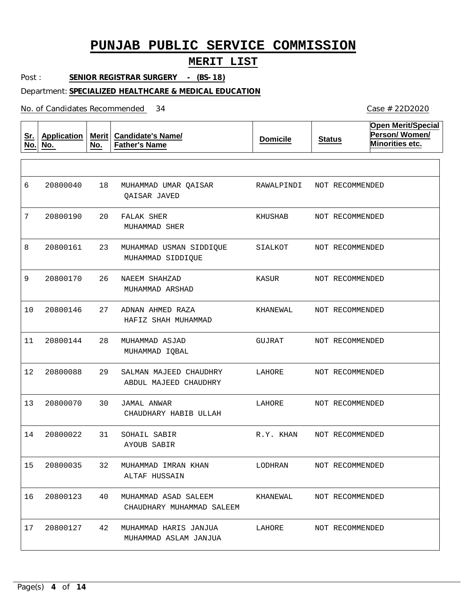### **MERIT LIST**

Post : **SENIOR REGISTRAR SURGERY - (BS-18)**

#### Department: **SPECIALIZED HEALTHCARE & MEDICAL EDUCATION**

No. of Candidates Recommended

**Sr. No. Application No. Merit No. Candidate's Name/ Father's Name Domicile Status Open Merit/Special Person/ Women/ Minorities etc.** 18 MUHAMMAD UMAR QAISAR 20 23 26 27 28 29 30 31 32 MUHAMMAD IMRAN KHAN 40 42 MUHAMMAD HARIS JANJUA FALAK SHER MUHAMMAD USMAN SIDDIQUE NAEEM SHAHZAD ADNAN AHMED RAZA MUHAMMAD ASJAD SALMAN MAJEED CHAUDHRY JAMAL ANWAR SOHAIL SABIR MUHAMMAD ASAD SALEEM QAISAR JAVED MUHAMMAD SHER MUHAMMAD SIDDIQUE MUHAMMAD ARSHAD HAFIZ SHAH MUHAMMAD MUHAMMAD IQBAL ABDUL MAJEED CHAUDHRY CHAUDHARY HABIB ULLAH AYOUB SABIR ALTAF HUSSAIN CHAUDHARY MUHAMMAD SALEEM MUHAMMAD ASLAM JANJUA 6 7 8 9 10 11 12 13 20800070 14 15 20800035 16 17 20800040 20800190 20800161 20800170 20800146 20800144 20800088 20800022 20800123 20800127 RAWALPINDI KHUSHAB SIALKOT KASUR KHANEWAL GUJRAT LAHORE LAHORE R.Y. KHAN LODHRAN KHANEWAL LAHORE NOT RECOMMENDED NOT RECOMMENDED NOT RECOMMENDED NOT RECOMMENDED NOT RECOMMENDED NOT RECOMMENDED NOT RECOMMENDED NOT RECOMMENDED NOT RECOMMENDED NOT RECOMMENDED NOT RECOMMENDED NOT RECOMMENDED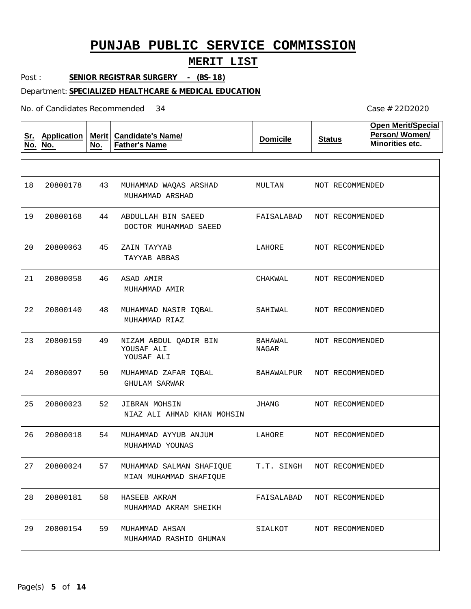### **MERIT LIST**

Post : **SENIOR REGISTRAR SURGERY - (BS-18)**

#### Department: **SPECIALIZED HEALTHCARE & MEDICAL EDUCATION**

No. of Candidates Recommended

**Sr. No. Application No. Merit No. Candidate's Name/ Father's Name Domicile Status Open Merit/Special Person/ Women/ Minorities etc.** 43 44 45 46 48 49 50 52 54 57 58 59 MUHAMMAD AHSAN MUHAMMAD WAQAS ARSHAD ABDULLAH BIN SAEED ZAIN TAYYAB ASAD AMIR MUHAMMAD NASIR IQBAL NIZAM ABDUL QADIR BIN YOUSAF ALI MUHAMMAD ZAFAR IQBAL JIBRAN MOHSIN MUHAMMAD AYYUB ANJUM MUHAMMAD SALMAN SHAFIQUE HASEEB AKRAM MUHAMMAD ARSHAD DOCTOR MUHAMMAD SAEED TAYYAB ABBAS MUHAMMAD AMIR MUHAMMAD RIAZ YOUSAF ALI GHULAM SARWAR NIAZ ALI AHMAD KHAN MOHSIN MUHAMMAD YOUNAS MIAN MUHAMMAD SHAFIQUE MUHAMMAD AKRAM SHEIKH MUHAMMAD RASHID GHUMAN 18 19 20800168 20 21 22 23 24 25 26 27 28 29 20800178 20800063 20800058 20800140 20800159 20800097 20800023 20800018 20800024 20800181 20800154 MULTAN FAISALABAD NOT RECOMMENDED LAHORE CHAKWAL SAHIWAL BAHAWAL NAGAR BAHAWALPUR JHANG LAHORE T.T. SINGH FAISALABAD NOT RECOMMENDED SIALKOT NOT RECOMMENDED NOT RECOMMENDED NOT RECOMMENDED NOT RECOMMENDED NOT RECOMMENDED NOT RECOMMENDED NOT RECOMMENDED NOT RECOMMENDED NOT RECOMMENDED NOT RECOMMENDED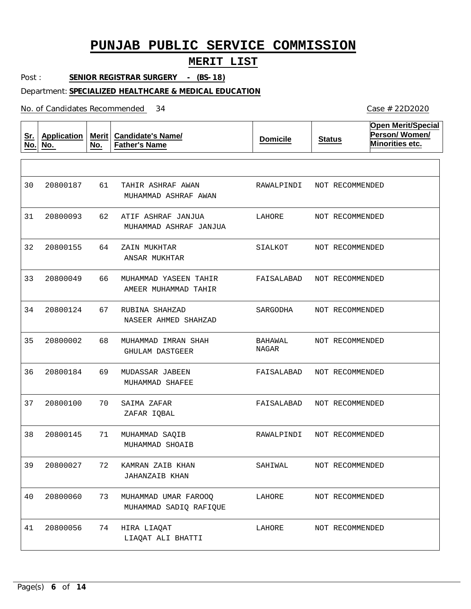## **MERIT LIST**

Post : **SENIOR REGISTRAR SURGERY - (BS-18)**

#### Department: **SPECIALIZED HEALTHCARE & MEDICAL EDUCATION**

No. of Candidates Recommended

| <u>Sr.</u><br>No. | <b>Application</b><br>No. | Merit $ $<br>No. | <b>Candidate's Name/</b><br><b>Father's Name</b> | <b>Domicile</b>         | <b>Status</b>   | <b>Open Merit/Special</b><br>Person/Women/<br>Minorities etc. |
|-------------------|---------------------------|------------------|--------------------------------------------------|-------------------------|-----------------|---------------------------------------------------------------|
|                   |                           |                  |                                                  |                         |                 |                                                               |
| 30                | 20800187                  | 61               | TAHIR ASHRAF AWAN<br>MUHAMMAD ASHRAF AWAN        | RAWALPINDI              | NOT RECOMMENDED |                                                               |
| 31                | 20800093                  | 62               | ATIF ASHRAF JANJUA<br>MUHAMMAD ASHRAF JANJUA     | LAHORE                  | NOT RECOMMENDED |                                                               |
| 32                | 20800155                  | 64               | ZAIN MUKHTAR<br>ANSAR MUKHTAR                    | SIALKOT                 | NOT RECOMMENDED |                                                               |
| 33                | 20800049                  | 66               | MUHAMMAD YASEEN TAHIR<br>AMEER MUHAMMAD TAHIR    | FAISALABAD              | NOT RECOMMENDED |                                                               |
| 34                | 20800124                  | 67               | RUBINA SHAHZAD<br>NASEER AHMED SHAHZAD           | SARGODHA                | NOT RECOMMENDED |                                                               |
| 35                | 20800002                  | 68               | MUHAMMAD IMRAN SHAH<br>GHULAM DASTGEER           | <b>BAHAWAL</b><br>NAGAR | NOT RECOMMENDED |                                                               |
| 36                | 20800184                  | 69               | MUDASSAR JABEEN<br>MUHAMMAD SHAFEE               | FAISALABAD              | NOT RECOMMENDED |                                                               |
| 37                | 20800100                  | 70               | SAIMA ZAFAR<br>ZAFAR IQBAL                       | FAISALABAD              | NOT RECOMMENDED |                                                               |
| 38                | 20800145                  | 71               | MUHAMMAD SAOIB<br>MUHAMMAD SHOAIB                | RAWALPINDI              | NOT RECOMMENDED |                                                               |
| 39                | 20800027                  | 72               | KAMRAN ZAIB KHAN<br><b>JAHANZAIB KHAN</b>        | SAHIWAL                 | NOT RECOMMENDED |                                                               |
| 40                | 20800060                  | 73               | MUHAMMAD UMAR FAROOQ<br>MUHAMMAD SADIQ RAFIQUE   | LAHORE                  | NOT RECOMMENDED |                                                               |
| 41                | 20800056                  | 74               | HIRA LIAQAT<br>LIAQAT ALI BHATTI                 | LAHORE                  | NOT RECOMMENDED |                                                               |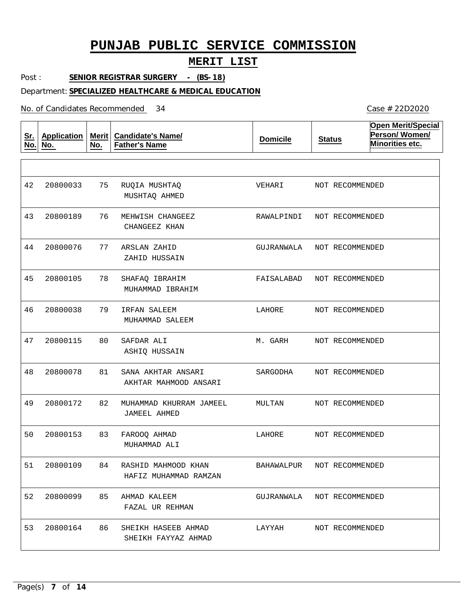## **MERIT LIST**

Case # 22D2020

Post : **SENIOR REGISTRAR SURGERY - (BS-18)**

Department: **SPECIALIZED HEALTHCARE & MEDICAL EDUCATION**

No. of Candidates Recommended

| <u>Sr.</u><br>No. | <b>Application</b><br>No. | Merit<br>No. | <b>Candidate's Name/</b><br><b>Father's Name</b> | <b>Domicile</b> | <b>Status</b>              | <b>Open Merit/Special</b><br>Person/Women/<br>Minorities etc. |
|-------------------|---------------------------|--------------|--------------------------------------------------|-----------------|----------------------------|---------------------------------------------------------------|
|                   |                           |              |                                                  |                 |                            |                                                               |
| 42                | 20800033                  | 75           | RUQIA MUSHTAQ<br>MUSHTAQ AHMED                   | VEHARI          | NOT RECOMMENDED            |                                                               |
| 43                | 20800189                  | 76           | MEHWISH CHANGEEZ<br>CHANGEEZ KHAN                | RAWALPINDI      | NOT RECOMMENDED            |                                                               |
| 44                | 20800076                  | 77           | ARSLAN ZAHID<br>ZAHID HUSSAIN                    | GUJRANWALA      | NOT RECOMMENDED            |                                                               |
| 45                | 20800105                  | 78           | SHAFAQ IBRAHIM<br>MUHAMMAD IBRAHIM               | FAISALABAD      | NOT RECOMMENDED            |                                                               |
| 46                | 20800038                  | 79           | IRFAN SALEEM<br>MUHAMMAD SALEEM                  | LAHORE          | NOT RECOMMENDED            |                                                               |
| 47                | 20800115                  | 80           | SAFDAR ALI<br>ASHIQ HUSSAIN                      | M. GARH         | NOT RECOMMENDED            |                                                               |
| 48                | 20800078                  | 81           | SANA AKHTAR ANSARI<br>AKHTAR MAHMOOD ANSARI      | SARGODHA        | NOT RECOMMENDED            |                                                               |
| 49                | 20800172                  | 82           | MUHAMMAD KHURRAM JAMEEL<br><b>JAMEEL AHMED</b>   | MULTAN          | NOT RECOMMENDED            |                                                               |
| 50                | 20800153                  | 83           | FAROOQ AHMAD<br>MUHAMMAD ALI                     | LAHORE          | NOT RECOMMENDED            |                                                               |
| 51                | 20800109                  | 84           | RASHID MAHMOOD KHAN<br>HAFIZ MUHAMMAD RAMZAN     | BAHAWALPUR      | NOT RECOMMENDED            |                                                               |
| 52                | 20800099                  | 85           | AHMAD KALEEM<br>FAZAL UR REHMAN                  |                 | GUJRANWALA NOT RECOMMENDED |                                                               |
| 53                | 20800164                  | 86           | SHEIKH HASEEB AHMAD<br>SHEIKH FAYYAZ AHMAD       | LAYYAH          | NOT RECOMMENDED            |                                                               |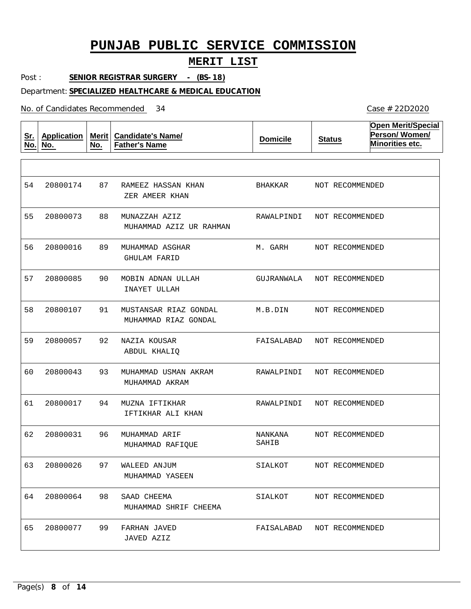### **MERIT LIST**

Post : **SENIOR REGISTRAR SURGERY - (BS-18)**

#### Department: **SPECIALIZED HEALTHCARE & MEDICAL EDUCATION**

No. of Candidates Recommended

**Sr. No. Application No. Merit No. Candidate's Name/ Father's Name Domicile Status Open Merit/Special Person/ Women/ Minorities etc.** 87 88 89 90 91 92 93 MUHAMMAD USMAN AKRAM 94 MUZNA IFTIKHAR 96 97 98 99 RAMEEZ HASSAN KHAN MUNAZZAH AZIZ MUHAMMAD ASGHAR MOBIN ADNAN ULLAH MUSTANSAR RIAZ GONDAL NAZIA KOUSAR MUHAMMAD ARIF WALEED ANJUM SAAD CHEEMA FARHAN JAVED ZER AMEER KHAN MUHAMMAD AZIZ UR RAHMAN GHULAM FARID INAYET ULLAH MUHAMMAD RIAZ GONDAL ABDUL KHALIQ MUHAMMAD AKRAM IFTIKHAR ALI KHAN MUHAMMAD RAFIQUE MUHAMMAD YASEEN MUHAMMAD SHRIF CHEEMA JAVED AZIZ 54 55 20800073 56 57 58 59  $60$ 61 62 63 20800026 64 20800064 65 20800174 20800016 20800085 20800107 20800057 20800043 20800017 20800031 20800077 BHAKKAR RAWALPINDI M. GARH GUJRANWALA M.B.DIN FAISALABAD RAWALPINDI RAWALPINDI NANKANA SAHIB SIALKOT SIALKOT FAISALABAD NOT RECOMMENDED NOT RECOMMENDED NOT RECOMMENDED NOT RECOMMENDED NOT RECOMMENDED NOT RECOMMENDED NOT RECOMMENDED NOT RECOMMENDED NOT RECOMMENDED NOT RECOMMENDED NOT RECOMMENDED NOT RECOMMENDED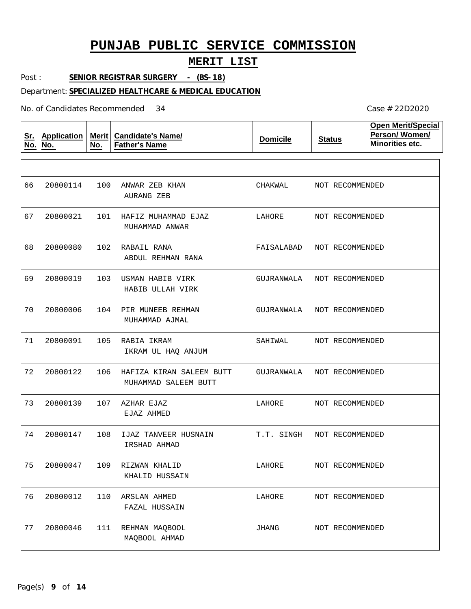## **MERIT LIST**

Post : **SENIOR REGISTRAR SURGERY - (BS-18)**

#### Department: **SPECIALIZED HEALTHCARE & MEDICAL EDUCATION**

No. of Candidates Recommended

| <u>Sr.</u><br>No. | <b>Application</b><br>No. | Merit $ $<br>No. | <b>Candidate's Name/</b><br><b>Father's Name</b> | <b>Domicile</b> | <b>Status</b>   | <b>Open Merit/Special</b><br>Person/Women/<br>Minorities etc. |
|-------------------|---------------------------|------------------|--------------------------------------------------|-----------------|-----------------|---------------------------------------------------------------|
|                   |                           |                  |                                                  |                 |                 |                                                               |
| 66                | 20800114                  | 100              | ANWAR ZEB KHAN<br>AURANG ZEB                     | CHAKWAL         | NOT RECOMMENDED |                                                               |
| 67                | 20800021                  | 101              | HAFIZ MUHAMMAD EJAZ<br>MUHAMMAD ANWAR            | LAHORE          | NOT RECOMMENDED |                                                               |
| 68                | 20800080                  | 102              | RABAIL RANA<br>ABDUL REHMAN RANA                 | FAISALABAD      | NOT RECOMMENDED |                                                               |
| 69                | 20800019                  | 103              | USMAN HABIB VIRK<br>HABIB ULLAH VIRK             | GUJRANWALA      | NOT RECOMMENDED |                                                               |
| 70                | 20800006                  | 104              | PIR MUNEEB REHMAN<br>MUHAMMAD AJMAL              | GUJRANWALA      | NOT RECOMMENDED |                                                               |
| 71                | 20800091                  | 105              | RABIA IKRAM<br>IKRAM UL HAQ ANJUM                | SAHIWAL         | NOT RECOMMENDED |                                                               |
| 72                | 20800122                  | 106              | HAFIZA KIRAN SALEEM BUTT<br>MUHAMMAD SALEEM BUTT | GUJRANWALA      | NOT RECOMMENDED |                                                               |
| 73                | 20800139                  | 107              | AZHAR EJAZ<br>EJAZ AHMED                         | LAHORE          | NOT RECOMMENDED |                                                               |
| 74                | 20800147                  | 108              | IJAZ TANVEER HUSNAIN<br>IRSHAD AHMAD             | T.T. SINGH      | NOT RECOMMENDED |                                                               |
| 75                | 20800047                  | 109              | RIZWAN KHALID<br>KHALID HUSSAIN                  | LAHORE          | NOT RECOMMENDED |                                                               |
| 76                | 20800012                  | 110              | ARSLAN AHMED<br>FAZAL HUSSAIN                    | LAHORE          | NOT RECOMMENDED |                                                               |
| 77                | 20800046                  | 111              | REHMAN MAQBOOL<br>MAQBOOL AHMAD                  | JHANG           | NOT RECOMMENDED |                                                               |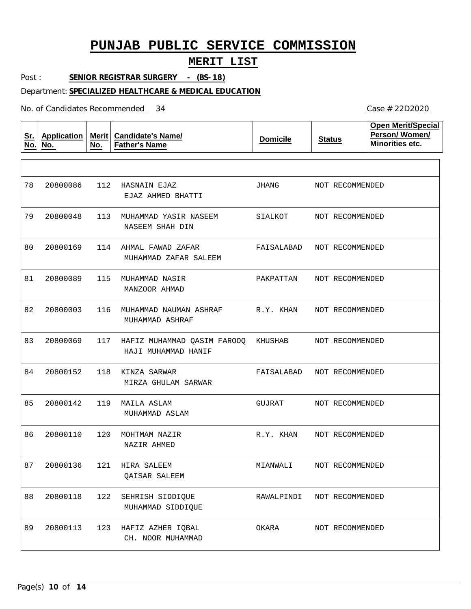### **MERIT LIST**

Post : **SENIOR REGISTRAR SURGERY - (BS-18)**

#### Department: **SPECIALIZED HEALTHCARE & MEDICAL EDUCATION**

No. of Candidates Recommended

**Sr. No. Application No. Merit No. Candidate's Name/ Father's Name Domicile Status Open Merit/Special Person/ Women/ Minorities etc.** 112 HASNAIN EJAZ 113 MUHAMMAD YASIR NASEEM 114 AHMAL FAWAD ZAFAR 115 MUHAMMAD NASIR 116 MUHAMMAD NAUMAN ASHRAF 117 HAFIZ MUHAMMAD QASIM FAROOQ KHUSHAB 118 KINZA SARWAR 119 MAILA ASLAM 120 MOHTMAM NAZIR 121 HIRA SALEEM 122 SEHRISH SIDDIQUE 123 HAFIZ AZHER IQBAL EJAZ AHMED BHATTI NASEEM SHAH DIN MUHAMMAD ZAFAR SALEEM MANZOOR AHMAD MUHAMMAD ASHRAF HAJI MUHAMMAD HANIF MIRZA GHULAM SARWAR MUHAMMAD ASLAM NAZIR AHMED QAISAR SALEEM MUHAMMAD SIDDIQUE CH. NOOR MUHAMMAD 78 79 20800048 80 81 82 83 84 85 86 87 88 89 20800086 20800169 20800089 20800003 20800069 20800152 20800142 20800110 20800136 20800118 20800113 JHANG SIALKOT FAISALABAD PAKPATTAN R.Y. KHAN FAISALABAD GUJRAT R.Y. KHAN MIANWALI RAWALPINDI NOT RECOMMENDED OKARA NOT RECOMMENDED NOT RECOMMENDED NOT RECOMMENDED NOT RECOMMENDED NOT RECOMMENDED NOT RECOMMENDED NOT RECOMMENDED NOT RECOMMENDED NOT RECOMMENDED NOT RECOMMENDED NOT RECOMMENDED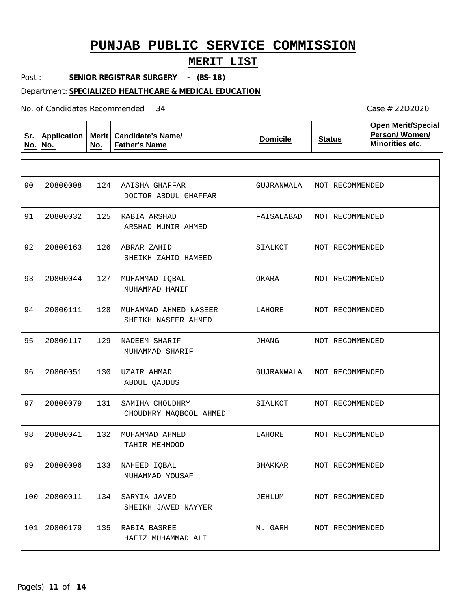### **MERIT LIST**

Post : **SENIOR REGISTRAR SURGERY - (BS-18)**

#### Department: **SPECIALIZED HEALTHCARE & MEDICAL EDUCATION**

No. of Candidates Recommended

**Sr. No. Application No. Merit No. Candidate's Name/ Father's Name Domicile Status Open Merit/Special Person/ Women/ Minorities etc.** 124 AAISHA GHAFFAR 125 RABIA ARSHAD 126 ABRAR ZAHID 127 MUHAMMAD IQBAL 128 MUHAMMAD AHMED NASEER 129 NADEEM SHARIF 130 UZAIR AHMAD 131 132 MUHAMMAD AHMED 133 NAHEED IQBAL 134 SARYIA JAVED 135 RABIA BASREE SAMIHA CHOUDHRY DOCTOR ABDUL GHAFFAR ARSHAD MUNIR AHMED SHEIKH ZAHID HAMEED MUHAMMAD HANIF SHEIKH NASEER AHMED MUHAMMAD SHARIF ABDUL QADDUS CHOUDHRY MAQBOOL AHMED TAHIR MEHMOOD MUHAMMAD YOUSAF SHEIKH JAVED NAYYER HAFIZ MUHAMMAD ALI 90 91 20800032 92 93 94 95 96 97 98 99 20800096 100 20800011 101 20800179 20800008 20800163 20800044 20800111 20800117 20800051 20800079 20800041 GUJRANWALA FAISALABAD NOT RECOMMENDED SIALKOT OKARA LAHORE JHANG GUJRANWALA SIALKOT LAHORE BHAKKAR JEHLUM M. GARH NOT RECOMMENDED NOT RECOMMENDED NOT RECOMMENDED NOT RECOMMENDED NOT RECOMMENDED NOT RECOMMENDED NOT RECOMMENDED NOT RECOMMENDED NOT RECOMMENDED NOT RECOMMENDED NOT RECOMMENDED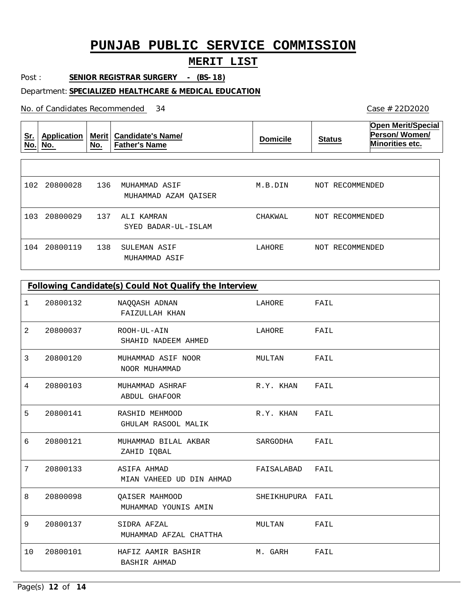## **MERIT LIST**

Post : **SENIOR REGISTRAR SURGERY - (BS-18)**

#### Department: **SPECIALIZED HEALTHCARE & MEDICAL EDUCATION**

No. of Candidates Recommended

| <u>Sr.</u><br>No. | Application<br>No. | <b>Merit</b><br>No. | <b>Candidate's Name/</b><br><b>Father's Name</b> | <b>Domicile</b> | <b>Status</b>      | <b>Open Merit/Special</b><br>Person/Women/<br><b>Minorities etc.</b> |
|-------------------|--------------------|---------------------|--------------------------------------------------|-----------------|--------------------|----------------------------------------------------------------------|
|                   |                    |                     |                                                  |                 |                    |                                                                      |
| 102               | 20800028           | 136                 | MUHAMMAD ASIF<br>MUHAMMAD AZAM OAISER            | M.B.DIN         | RECOMMENDED<br>NOT |                                                                      |
| 103               | 20800029           | 137                 | ALI KAMRAN<br>SYED BADAR-UL-ISLAM                | CHAKWAL         | NOT RECOMMENDED    |                                                                      |
| 104               | 20800119           | 138                 | SULEMAN ASIF<br>MUHAMMAD ASIF                    | LAHORE          | RECOMMENDED<br>NOT |                                                                      |

|    | Following Candidate(s) Could Not Qualify the Interview |                                                |                  |      |  |  |  |
|----|--------------------------------------------------------|------------------------------------------------|------------------|------|--|--|--|
| 1  | 20800132                                               | NAQQASH ADNAN<br>FAIZULLAH KHAN                | LAHORE           | FAIL |  |  |  |
| 2  | 20800037                                               | ROOH-UL-AIN<br>SHAHID NADEEM AHMED             | LAHORE           | FAIL |  |  |  |
| 3  | 20800120                                               | MUHAMMAD ASIF NOOR<br>NOOR MUHAMMAD            | MULTAN           | FAIL |  |  |  |
| 4  | 20800103                                               | MUHAMMAD ASHRAF<br>ABDUL GHAFOOR               | R.Y. KHAN        | FAIL |  |  |  |
| 5  | 20800141                                               | RASHID MEHMOOD<br>GHULAM RASOOL MALIK          | R.Y. KHAN        | FAIL |  |  |  |
| 6  | 20800121                                               | MUHAMMAD BILAL AKBAR<br>ZAHID IOBAL            | SARGODHA         | FAIL |  |  |  |
| 7  | 20800133                                               | <b>ASIFA AHMAD</b><br>MIAN VAHEED UD DIN AHMAD | FAISALABAD       | FAIL |  |  |  |
| 8  | 20800098                                               | QAISER MAHMOOD<br>MUHAMMAD YOUNIS AMIN         | SHEIKHUPURA FAIL |      |  |  |  |
| 9  | 20800137                                               | SIDRA AFZAL<br>MUHAMMAD AFZAL CHATTHA          | MULTAN           | FAIL |  |  |  |
| 10 | 20800101                                               | HAFIZ AAMIR BASHIR<br>BASHIR AHMAD             | M. GARH          | FAIL |  |  |  |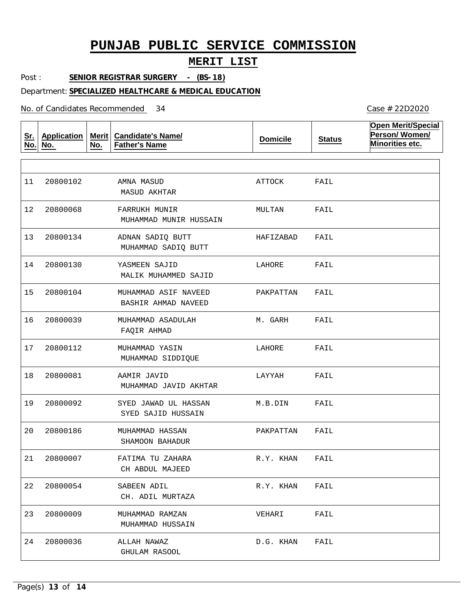### **MERIT LIST**

Post : **SENIOR REGISTRAR SURGERY - (BS-18)**

#### Department: **SPECIALIZED HEALTHCARE & MEDICAL EDUCATION**

No. of Candidates Recommended

**Sr. No. Application No. Merit No. Candidate's Name/ Father's Name Domicile Status Open Merit/Special Person/ Women/ Minorities etc.** AMNA MASUD FARRUKH MUNIR ADNAN SADIQ BUTT YASMEEN SAJID MUHAMMAD ASIF NAVEED MUHAMMAD ASADULAH MUHAMMAD YASIN AAMIR JAVID SYED JAWAD UL HASSAN MUHAMMAD HASSAN FATIMA TU ZAHARA SABEEN ADIL MUHAMMAD RAMZAN ALLAH NAWAZ MASUD AKHTAR MUHAMMAD MUNIR HUSSAIN MUHAMMAD SADIQ BUTT MALIK MUHAMMED SAJID BASHIR AHMAD NAVEED FAQIR AHMAD MUHAMMAD SIDDIQUE MUHAMMAD JAVID AKHTAR SYED SAJID HUSSAIN SHAMOON BAHADUR CH ABDUL MAJEED CH. ADIL MURTAZA MUHAMMAD HUSSAIN GHULAM RASOOL 11 12 13 20800134 14 20800130 15 16 17 20800112 18 19  $20$ 21 22 23 20800009 24 20800102 20800068 20800104 20800039 20800081 20800092 20800186 20800007 20800054 20800036 ATTOCK MULTAN HAFIZABAD LAHORE PAKPATTAN M. GARH LAHORE LAYYAH M.B.DIN PAKPATTAN R.Y. KHAN R.Y. KHAN VEHARI D.G. KHAN FAIL FAIL FAIL FAIL FAIL FAIL FAIL FAIL FAIL FAIL FAIL FAIL FAIL FAIL